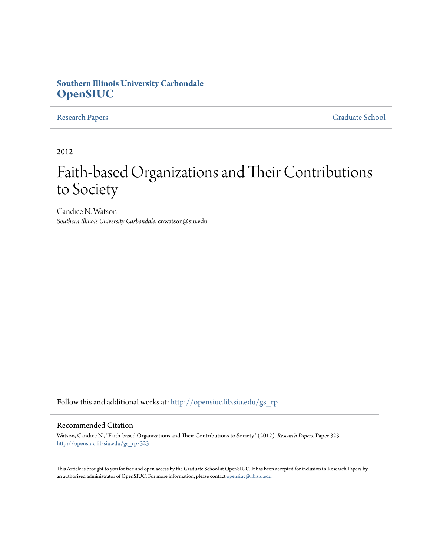# **Southern Illinois University Carbondale [OpenSIUC](http://opensiuc.lib.siu.edu?utm_source=opensiuc.lib.siu.edu%2Fgs_rp%2F323&utm_medium=PDF&utm_campaign=PDFCoverPages)**

[Research Papers](http://opensiuc.lib.siu.edu/gs_rp?utm_source=opensiuc.lib.siu.edu%2Fgs_rp%2F323&utm_medium=PDF&utm_campaign=PDFCoverPages) [Graduate School](http://opensiuc.lib.siu.edu/grad?utm_source=opensiuc.lib.siu.edu%2Fgs_rp%2F323&utm_medium=PDF&utm_campaign=PDFCoverPages)

2012

# Faith-based Organizations and Their Contributions to Society

Candice N. Watson *Southern Illinois University Carbondale*, cnwatson@siu.edu

Follow this and additional works at: [http://opensiuc.lib.siu.edu/gs\\_rp](http://opensiuc.lib.siu.edu/gs_rp?utm_source=opensiuc.lib.siu.edu%2Fgs_rp%2F323&utm_medium=PDF&utm_campaign=PDFCoverPages)

#### Recommended Citation

Watson, Candice N., "Faith-based Organizations and Their Contributions to Society" (2012). *Research Papers.* Paper 323. [http://opensiuc.lib.siu.edu/gs\\_rp/323](http://opensiuc.lib.siu.edu/gs_rp/323?utm_source=opensiuc.lib.siu.edu%2Fgs_rp%2F323&utm_medium=PDF&utm_campaign=PDFCoverPages)

This Article is brought to you for free and open access by the Graduate School at OpenSIUC. It has been accepted for inclusion in Research Papers by an authorized administrator of OpenSIUC. For more information, please contact [opensiuc@lib.siu.edu.](mailto:opensiuc@lib.siu.edu)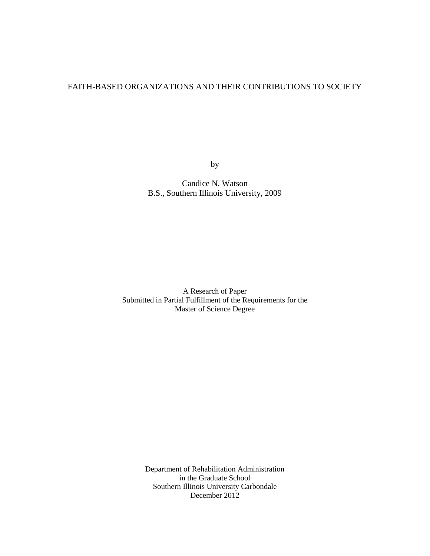# FAITH-BASED ORGANIZATIONS AND THEIR CONTRIBUTIONS TO SOCIETY

by

Candice N. Watson B.S., Southern Illinois University, 2009

A Research of Paper Submitted in Partial Fulfillment of the Requirements for the Master of Science Degree

> Department of Rehabilitation Administration in the Graduate School Southern Illinois University Carbondale December 2012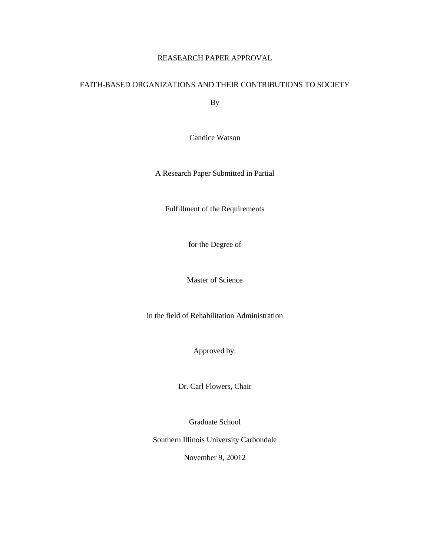# REASEARCH PAPER APPROVAL

# FAITH-BASED ORGANIZATIONS AND THEIR CONTRIBUTIONS TO SOCIETY

By

Candice Watson

A Research Paper Submitted in Partial

Fulfillment of the Requirements

for the Degree of

Master of Science

in the field of Rehabilitation Administration

Approved by:

Dr. Carl Flowers, Chair

Graduate School

Southern Illinois University Carbondale

November 9, 20012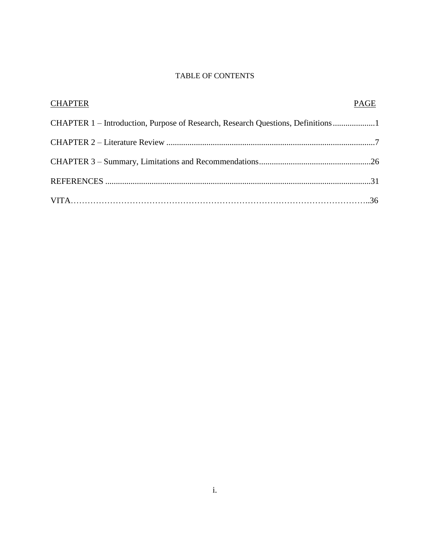# TABLE OF CONTENTS

| <b>CHAPTER</b>                                                                  | PAGE |
|---------------------------------------------------------------------------------|------|
| CHAPTER 1 – Introduction, Purpose of Research, Research Questions, Definitions1 |      |
|                                                                                 |      |
|                                                                                 |      |
|                                                                                 |      |
|                                                                                 |      |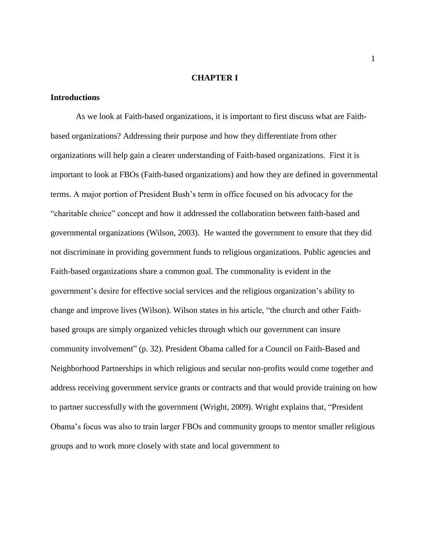#### **CHAPTER I**

### **Introductions**

As we look at Faith-based organizations, it is important to first discuss what are Faithbased organizations? Addressing their purpose and how they differentiate from other organizations will help gain a clearer understanding of Faith-based organizations. First it is important to look at FBOs (Faith-based organizations) and how they are defined in governmental terms. A major portion of President Bush's term in office focused on his advocacy for the "charitable choice" concept and how it addressed the collaboration between faith-based and governmental organizations (Wilson, 2003). He wanted the government to ensure that they did not discriminate in providing government funds to religious organizations. Public agencies and Faith-based organizations share a common goal. The commonality is evident in the government's desire for effective social services and the religious organization's ability to change and improve lives (Wilson). Wilson states in his article, "the church and other Faithbased groups are simply organized vehicles through which our government can insure community involvement" (p. 32). President Obama called for a Council on Faith-Based and Neighborhood Partnerships in which religious and secular non-profits would come together and address receiving government service grants or contracts and that would provide training on how to partner successfully with the government (Wright, 2009). Wright explains that, "President Obama's focus was also to train larger FBOs and community groups to mentor smaller religious groups and to work more closely with state and local government to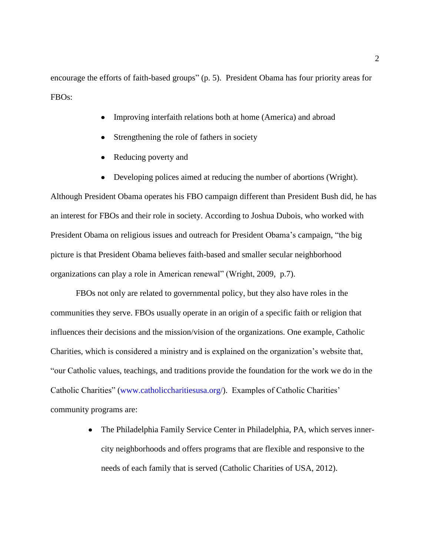encourage the efforts of faith-based groups" (p. 5). President Obama has four priority areas for FBOs:

- Improving interfaith relations both at home (America) and abroad  $\bullet$
- Strengthening the role of fathers in society  $\bullet$
- Reducing poverty and
- Developing polices aimed at reducing the number of abortions (Wright).

Although President Obama operates his FBO campaign different than President Bush did, he has an interest for FBOs and their role in society. According to Joshua Dubois, who worked with President Obama on religious issues and outreach for President Obama's campaign, "the big picture is that President Obama believes faith-based and smaller secular neighborhood organizations can play a role in American renewal" (Wright, 2009, p.7).

FBOs not only are related to governmental policy, but they also have roles in the communities they serve. FBOs usually operate in an origin of a specific faith or religion that influences their decisions and the mission/vision of the organizations. One example, Catholic Charities, which is considered a ministry and is explained on the organization's website that, "our Catholic values, teachings, and traditions provide the foundation for the work we do in the Catholic Charities" [\(www.catholiccharitiesusa.org/\)](http://www.catholiccharitiesusa.org/). Examples of Catholic Charities' community programs are:

> The Philadelphia Family Service Center in Philadelphia, PA, which serves innercity neighborhoods and offers programs that are flexible and responsive to the needs of each family that is served (Catholic Charities of USA, 2012).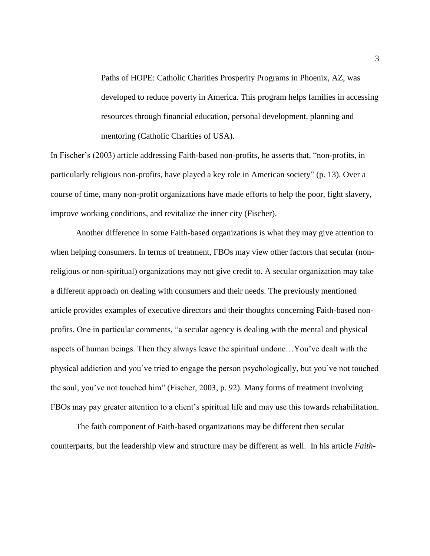Paths of HOPE: Catholic Charities Prosperity Programs in Phoenix, AZ, was developed to reduce poverty in America. This program helps families in accessing resources through financial education, personal development, planning and mentoring (Catholic Charities of USA).

In Fischer's (2003) article addressing Faith-based non-profits, he asserts that, "non-profits, in particularly religious non-profits, have played a key role in American society" (p. 13). Over a course of time, many non-profit organizations have made efforts to help the poor, fight slavery, improve working conditions, and revitalize the inner city (Fischer).

Another difference in some Faith-based organizations is what they may give attention to when helping consumers. In terms of treatment, FBOs may view other factors that secular (nonreligious or non-spiritual) organizations may not give credit to. A secular organization may take a different approach on dealing with consumers and their needs. The previously mentioned article provides examples of executive directors and their thoughts concerning Faith-based nonprofits. One in particular comments, "a secular agency is dealing with the mental and physical aspects of human beings. Then they always leave the spiritual undone…You've dealt with the physical addiction and you've tried to engage the person psychologically, but you've not touched the soul, you've not touched him" (Fischer, 2003, p. 92). Many forms of treatment involving FBOs may pay greater attention to a client's spiritual life and may use this towards rehabilitation.

The faith component of Faith-based organizations may be different then secular counterparts, but the leadership view and structure may be different as well. In his article *Faith-*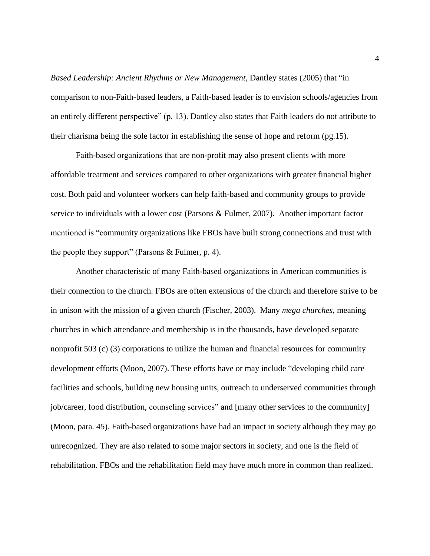*Based Leadership: Ancient Rhythms or New Management*, Dantley states (2005) that "in comparison to non-Faith-based leaders, a Faith-based leader is to envision schools/agencies from an entirely different perspective" (p. 13). Dantley also states that Faith leaders do not attribute to their charisma being the sole factor in establishing the sense of hope and reform (pg.15).

Faith-based organizations that are non-profit may also present clients with more affordable treatment and services compared to other organizations with greater financial higher cost. Both paid and volunteer workers can help faith-based and community groups to provide service to individuals with a lower cost (Parsons & Fulmer, 2007). Another important factor mentioned is "community organizations like FBOs have built strong connections and trust with the people they support" (Parsons & Fulmer, p. 4).

Another characteristic of many Faith-based organizations in American communities is their connection to the church. FBOs are often extensions of the church and therefore strive to be in unison with the mission of a given church (Fischer, 2003). Many *mega churches*, meaning churches in which attendance and membership is in the thousands, have developed separate nonprofit 503 (c) (3) corporations to utilize the human and financial resources for community development efforts (Moon, 2007). These efforts have or may include "developing child care facilities and schools, building new housing units, outreach to underserved communities through job/career, food distribution, counseling services" and [many other services to the community] (Moon, para. 45). Faith-based organizations have had an impact in society although they may go unrecognized. They are also related to some major sectors in society, and one is the field of rehabilitation. FBOs and the rehabilitation field may have much more in common than realized.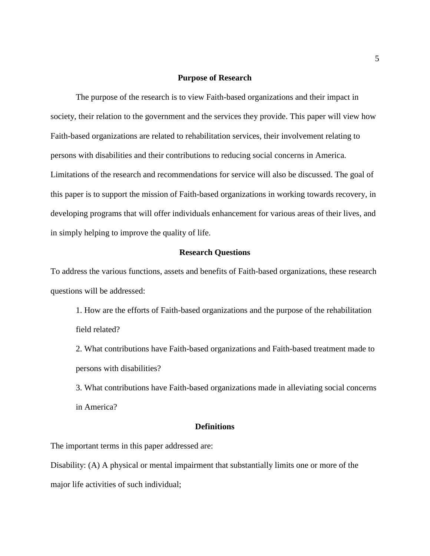#### **Purpose of Research**

The purpose of the research is to view Faith-based organizations and their impact in society, their relation to the government and the services they provide. This paper will view how Faith-based organizations are related to rehabilitation services, their involvement relating to persons with disabilities and their contributions to reducing social concerns in America. Limitations of the research and recommendations for service will also be discussed. The goal of this paper is to support the mission of Faith-based organizations in working towards recovery, in developing programs that will offer individuals enhancement for various areas of their lives, and in simply helping to improve the quality of life.

#### **Research Questions**

To address the various functions, assets and benefits of Faith-based organizations, these research questions will be addressed:

- 1. How are the efforts of Faith-based organizations and the purpose of the rehabilitation field related?
- 2. What contributions have Faith-based organizations and Faith-based treatment made to persons with disabilities?

3. What contributions have Faith-based organizations made in alleviating social concerns in America?

#### **Definitions**

The important terms in this paper addressed are:

Disability: (A) A physical or mental impairment that substantially limits one or more of the major life activities of such individual;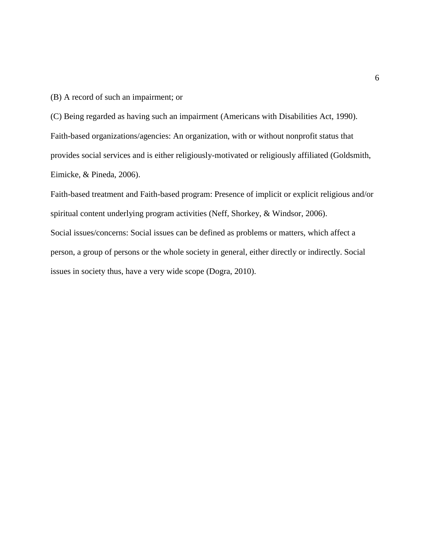(B) A record of such an impairment; or

(C) Being regarded as having such an impairment (Americans with Disabilities Act, 1990). Faith-based organizations/agencies: An organization, with or without nonprofit status that provides social services and is either religiously-motivated or religiously affiliated (Goldsmith, Eimicke, & Pineda, 2006).

Faith-based treatment and Faith-based program: Presence of implicit or explicit religious and/or spiritual content underlying program activities (Neff, Shorkey, & Windsor, 2006). Social issues/concerns: Social issues can be defined as problems or matters, which affect a person, a group of persons or the whole society in general, either directly or indirectly. Social issues in society thus, have a very wide scope (Dogra, 2010).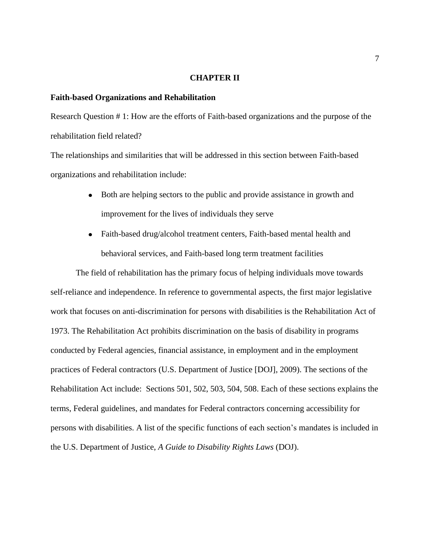#### **CHAPTER II**

#### **Faith-based Organizations and Rehabilitation**

Research Question # 1: How are the efforts of Faith-based organizations and the purpose of the rehabilitation field related?

The relationships and similarities that will be addressed in this section between Faith-based organizations and rehabilitation include:

- Both are helping sectors to the public and provide assistance in growth and improvement for the lives of individuals they serve
- Faith-based drug/alcohol treatment centers, Faith-based mental health and behavioral services, and Faith-based long term treatment facilities

The field of rehabilitation has the primary focus of helping individuals move towards self-reliance and independence. In reference to governmental aspects, the first major legislative work that focuses on anti-discrimination for persons with disabilities is the Rehabilitation Act of 1973. The Rehabilitation Act prohibits discrimination on the basis of disability in programs conducted by Federal agencies, financial assistance, in employment and in the employment practices of Federal contractors (U.S. Department of Justice [DOJ], 2009). The sections of the Rehabilitation Act include: Sections 501, 502, 503, 504, 508. Each of these sections explains the terms, Federal guidelines, and mandates for Federal contractors concerning accessibility for persons with disabilities. A list of the specific functions of each section's mandates is included in the U.S. Department of Justice, *A Guide to Disability Rights Laws* (DOJ).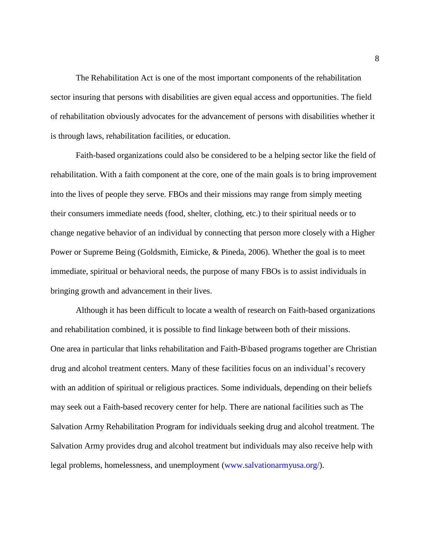The Rehabilitation Act is one of the most important components of the rehabilitation sector insuring that persons with disabilities are given equal access and opportunities. The field of rehabilitation obviously advocates for the advancement of persons with disabilities whether it is through laws, rehabilitation facilities, or education.

Faith-based organizations could also be considered to be a helping sector like the field of rehabilitation. With a faith component at the core, one of the main goals is to bring improvement into the lives of people they serve. FBOs and their missions may range from simply meeting their consumers immediate needs (food, shelter, clothing, etc.) to their spiritual needs or to change negative behavior of an individual by connecting that person more closely with a Higher Power or Supreme Being (Goldsmith, Eimicke, & Pineda, 2006). Whether the goal is to meet immediate, spiritual or behavioral needs, the purpose of many FBOs is to assist individuals in bringing growth and advancement in their lives.

Although it has been difficult to locate a wealth of research on Faith-based organizations and rehabilitation combined, it is possible to find linkage between both of their missions. One area in particular that links rehabilitation and Faith-B\based programs together are Christian drug and alcohol treatment centers. Many of these facilities focus on an individual's recovery with an addition of spiritual or religious practices. Some individuals, depending on their beliefs may seek out a Faith-based recovery center for help. There are national facilities such as The Salvation Army Rehabilitation Program for individuals seeking drug and alcohol treatment. The Salvation Army provides drug and alcohol treatment but individuals may also receive help with legal problems, homelessness, and unemployment [\(www.salvationarmyusa.org/\)](http://www.salvationarmyusa.org/).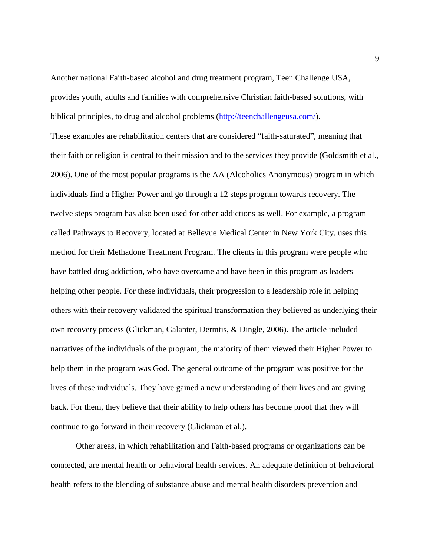Another national Faith-based alcohol and drug treatment program, Teen Challenge USA, provides youth, adults and families with comprehensive Christian faith-based solutions, with biblical principles, to drug and alcohol problems [\(http://teenchallengeusa.com/\)](http://teenchallengeusa.com/).

These examples are rehabilitation centers that are considered "faith-saturated", meaning that their faith or religion is central to their mission and to the services they provide (Goldsmith et al., 2006). One of the most popular programs is the AA (Alcoholics Anonymous) program in which individuals find a Higher Power and go through a 12 steps program towards recovery. The twelve steps program has also been used for other addictions as well. For example, a program called Pathways to Recovery, located at Bellevue Medical Center in New York City, uses this method for their Methadone Treatment Program. The clients in this program were people who have battled drug addiction, who have overcame and have been in this program as leaders helping other people. For these individuals, their progression to a leadership role in helping others with their recovery validated the spiritual transformation they believed as underlying their own recovery process (Glickman, Galanter, Dermtis, & Dingle, 2006). The article included narratives of the individuals of the program, the majority of them viewed their Higher Power to help them in the program was God. The general outcome of the program was positive for the lives of these individuals. They have gained a new understanding of their lives and are giving back. For them, they believe that their ability to help others has become proof that they will continue to go forward in their recovery (Glickman et al.).

Other areas, in which rehabilitation and Faith-based programs or organizations can be connected, are mental health or behavioral health services. An adequate definition of behavioral health refers to the blending of substance abuse and mental health disorders prevention and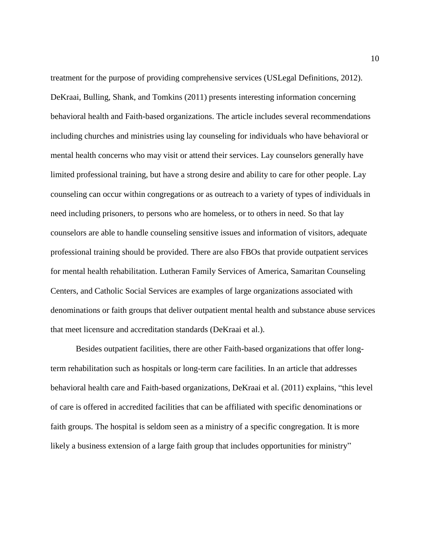treatment for the purpose of providing comprehensive services (USLegal Definitions, 2012). DeKraai, Bulling, Shank, and Tomkins (2011) presents interesting information concerning behavioral health and Faith-based organizations. The article includes several recommendations including churches and ministries using lay counseling for individuals who have behavioral or mental health concerns who may visit or attend their services. Lay counselors generally have limited professional training, but have a strong desire and ability to care for other people. Lay counseling can occur within congregations or as outreach to a variety of types of individuals in need including prisoners, to persons who are homeless, or to others in need. So that lay counselors are able to handle counseling sensitive issues and information of visitors, adequate professional training should be provided. There are also FBOs that provide outpatient services for mental health rehabilitation. Lutheran Family Services of America, Samaritan Counseling Centers, and Catholic Social Services are examples of large organizations associated with denominations or faith groups that deliver outpatient mental health and substance abuse services that meet licensure and accreditation standards (DeKraai et al.).

Besides outpatient facilities, there are other Faith-based organizations that offer longterm rehabilitation such as hospitals or long-term care facilities. In an article that addresses behavioral health care and Faith-based organizations, DeKraai et al. (2011) explains, "this level of care is offered in accredited facilities that can be affiliated with specific denominations or faith groups. The hospital is seldom seen as a ministry of a specific congregation. It is more likely a business extension of a large faith group that includes opportunities for ministry"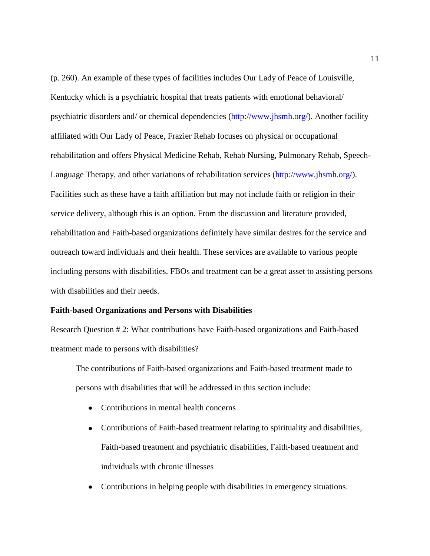(p. 260). An example of these types of facilities includes Our Lady of Peace of Louisville, Kentucky which is a psychiatric hospital that treats patients with emotional behavioral/ psychiatric disorders and/ or chemical dependencies [\(http://www.jhsmh.org/\)](http://www.jhsmh.org/). Another facility affiliated with Our Lady of Peace, Frazier Rehab focuses on physical or occupational rehabilitation and offers Physical Medicine Rehab, Rehab Nursing, Pulmonary Rehab, Speech-Language Therapy, and other variations of rehabilitation services [\(http://www.jhsmh.org/\)](http://www.jhsmh.org/). Facilities such as these have a faith affiliation but may not include faith or religion in their service delivery, although this is an option. From the discussion and literature provided, rehabilitation and Faith-based organizations definitely have similar desires for the service and outreach toward individuals and their health. These services are available to various people including persons with disabilities. FBOs and treatment can be a great asset to assisting persons with disabilities and their needs.

#### **Faith-based Organizations and Persons with Disabilities**

Research Question # 2: What contributions have Faith-based organizations and Faith-based treatment made to persons with disabilities?

The contributions of Faith-based organizations and Faith-based treatment made to persons with disabilities that will be addressed in this section include:

- Contributions in mental health concerns
- Contributions of Faith-based treatment relating to spirituality and disabilities, Faith-based treatment and psychiatric disabilities, Faith-based treatment and individuals with chronic illnesses
- Contributions in helping people with disabilities in emergency situations.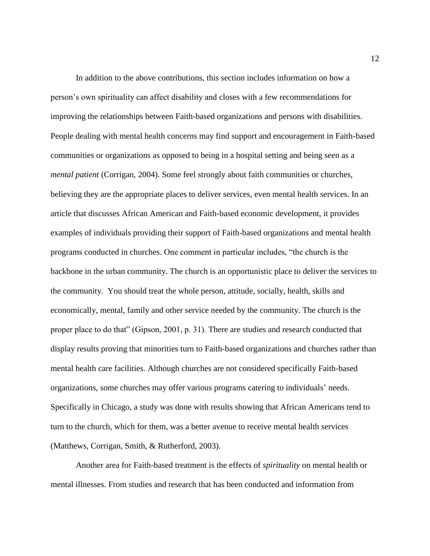In addition to the above contributions, this section includes information on how a person's own spirituality can affect disability and closes with a few recommendations for improving the relationships between Faith-based organizations and persons with disabilities. People dealing with mental health concerns may find support and encouragement in Faith-based communities or organizations as opposed to being in a hospital setting and being seen as a *mental patient* (Corrigan, 2004). Some feel strongly about faith communities or churches, believing they are the appropriate places to deliver services, even mental health services. In an article that discusses African American and Faith-based economic development, it provides examples of individuals providing their support of Faith-based organizations and mental health programs conducted in churches. One comment in particular includes, "the church is the backbone in the urban community. The church is an opportunistic place to deliver the services to the community. You should treat the whole person, attitude, socially, health, skills and economically, mental, family and other service needed by the community. The church is the proper place to do that" (Gipson, 2001, p. 31). There are studies and research conducted that display results proving that minorities turn to Faith-based organizations and churches rather than mental health care facilities. Although churches are not considered specifically Faith-based organizations, some churches may offer various programs catering to individuals' needs. Specifically in Chicago, a study was done with results showing that African Americans tend to turn to the church, which for them, was a better avenue to receive mental health services (Matthews, Corrigan, Smith, & Rutherford, 2003).

Another area for Faith-based treatment is the effects of *spirituality* on mental health or mental illnesses. From studies and research that has been conducted and information from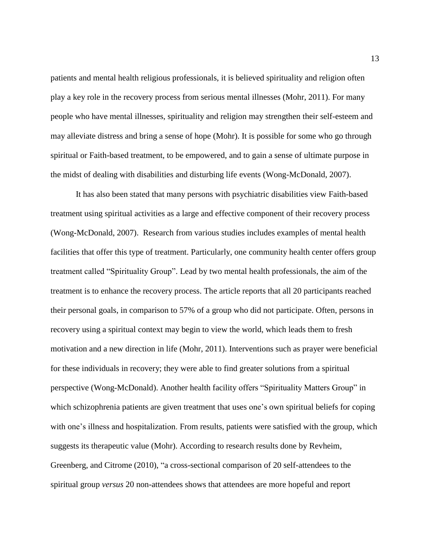patients and mental health religious professionals, it is believed spirituality and religion often play a key role in the recovery process from serious mental illnesses (Mohr, 2011). For many people who have mental illnesses, spirituality and religion may strengthen their self-esteem and may alleviate distress and bring a sense of hope (Mohr). It is possible for some who go through spiritual or Faith-based treatment, to be empowered, and to gain a sense of ultimate purpose in the midst of dealing with disabilities and disturbing life events (Wong-McDonald, 2007).

It has also been stated that many persons with psychiatric disabilities view Faith-based treatment using spiritual activities as a large and effective component of their recovery process (Wong-McDonald, 2007). Research from various studies includes examples of mental health facilities that offer this type of treatment. Particularly, one community health center offers group treatment called "Spirituality Group". Lead by two mental health professionals, the aim of the treatment is to enhance the recovery process. The article reports that all 20 participants reached their personal goals, in comparison to 57% of a group who did not participate. Often, persons in recovery using a spiritual context may begin to view the world, which leads them to fresh motivation and a new direction in life (Mohr, 2011). Interventions such as prayer were beneficial for these individuals in recovery; they were able to find greater solutions from a spiritual perspective (Wong-McDonald). Another health facility offers "Spirituality Matters Group" in which schizophrenia patients are given treatment that uses one's own spiritual beliefs for coping with one's illness and hospitalization. From results, patients were satisfied with the group, which suggests its therapeutic value (Mohr). According to research results done by Revheim, Greenberg, and Citrome (2010), "a cross-sectional comparison of 20 self-attendees to the spiritual group *versus* 20 non-attendees shows that attendees are more hopeful and report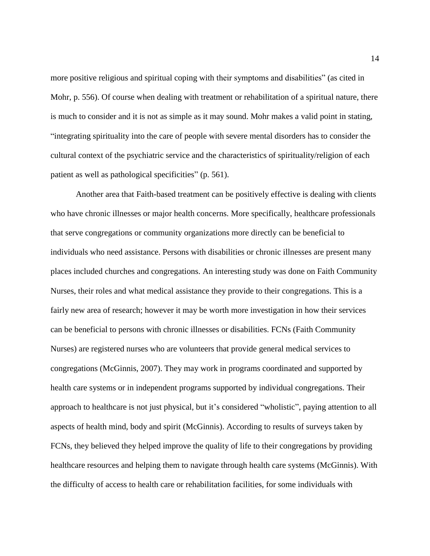more positive religious and spiritual coping with their symptoms and disabilities" (as cited in Mohr, p. 556). Of course when dealing with treatment or rehabilitation of a spiritual nature, there is much to consider and it is not as simple as it may sound. Mohr makes a valid point in stating, "integrating spirituality into the care of people with severe mental disorders has to consider the cultural context of the psychiatric service and the characteristics of spirituality/religion of each patient as well as pathological specificities" (p. 561).

Another area that Faith-based treatment can be positively effective is dealing with clients who have chronic illnesses or major health concerns. More specifically, healthcare professionals that serve congregations or community organizations more directly can be beneficial to individuals who need assistance. Persons with disabilities or chronic illnesses are present many places included churches and congregations. An interesting study was done on Faith Community Nurses, their roles and what medical assistance they provide to their congregations. This is a fairly new area of research; however it may be worth more investigation in how their services can be beneficial to persons with chronic illnesses or disabilities. FCNs (Faith Community Nurses) are registered nurses who are volunteers that provide general medical services to congregations (McGinnis, 2007). They may work in programs coordinated and supported by health care systems or in independent programs supported by individual congregations. Their approach to healthcare is not just physical, but it's considered "wholistic", paying attention to all aspects of health mind, body and spirit (McGinnis). According to results of surveys taken by FCNs, they believed they helped improve the quality of life to their congregations by providing healthcare resources and helping them to navigate through health care systems (McGinnis). With the difficulty of access to health care or rehabilitation facilities, for some individuals with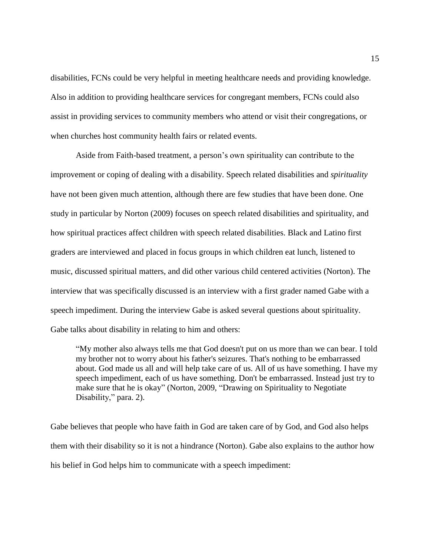disabilities, FCNs could be very helpful in meeting healthcare needs and providing knowledge. Also in addition to providing healthcare services for congregant members, FCNs could also assist in providing services to community members who attend or visit their congregations, or when churches host community health fairs or related events.

Aside from Faith-based treatment, a person's own spirituality can contribute to the improvement or coping of dealing with a disability. Speech related disabilities and *spirituality* have not been given much attention, although there are few studies that have been done. One study in particular by Norton (2009) focuses on speech related disabilities and spirituality, and how spiritual practices affect children with speech related disabilities. Black and Latino first graders are interviewed and placed in focus groups in which children eat lunch, listened to music, discussed spiritual matters, and did other various child centered activities (Norton). The interview that was specifically discussed is an interview with a first grader named Gabe with a speech impediment. During the interview Gabe is asked several questions about spirituality. Gabe talks about disability in relating to him and others:

"My mother also always tells me that God doesn't put on us more than we can bear. I told my brother not to worry about his father's seizures. That's nothing to be embarrassed about. God made us all and will help take care of us. All of us have something. I have my speech impediment, each of us have something. Don't be embarrassed. Instead just try to make sure that he is okay" (Norton, 2009, "Drawing on Spirituality to Negotiate Disability," para. 2).

Gabe believes that people who have faith in God are taken care of by God, and God also helps them with their disability so it is not a hindrance (Norton). Gabe also explains to the author how his belief in God helps him to communicate with a speech impediment: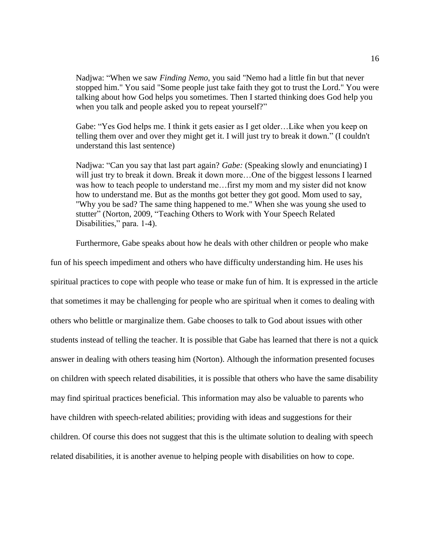Nadjwa: "When we saw *Finding Nemo*, you said "Nemo had a little fin but that never stopped him." You said "Some people just take faith they got to trust the Lord." You were talking about how God helps you sometimes. Then I started thinking does God help you when you talk and people asked you to repeat yourself?"

Gabe: "Yes God helps me. I think it gets easier as I get older…Like when you keep on telling them over and over they might get it. I will just try to break it down." (I couldn't understand this last sentence)

Nadjwa: "Can you say that last part again? *Gabe:* (Speaking slowly and enunciating) I will just try to break it down. Break it down more...One of the biggest lessons I learned was how to teach people to understand me…first my mom and my sister did not know how to understand me. But as the months got better they got good. Mom used to say, "Why you be sad? The same thing happened to me." When she was young she used to stutter" (Norton, 2009, "Teaching Others to Work with Your Speech Related Disabilities," para. 1-4).

Furthermore, Gabe speaks about how he deals with other children or people who make

fun of his speech impediment and others who have difficulty understanding him. He uses his spiritual practices to cope with people who tease or make fun of him. It is expressed in the article that sometimes it may be challenging for people who are spiritual when it comes to dealing with others who belittle or marginalize them. Gabe chooses to talk to God about issues with other students instead of telling the teacher. It is possible that Gabe has learned that there is not a quick answer in dealing with others teasing him (Norton). Although the information presented focuses on children with speech related disabilities, it is possible that others who have the same disability may find spiritual practices beneficial. This information may also be valuable to parents who have children with speech-related abilities; providing with ideas and suggestions for their children. Of course this does not suggest that this is the ultimate solution to dealing with speech related disabilities, it is another avenue to helping people with disabilities on how to cope.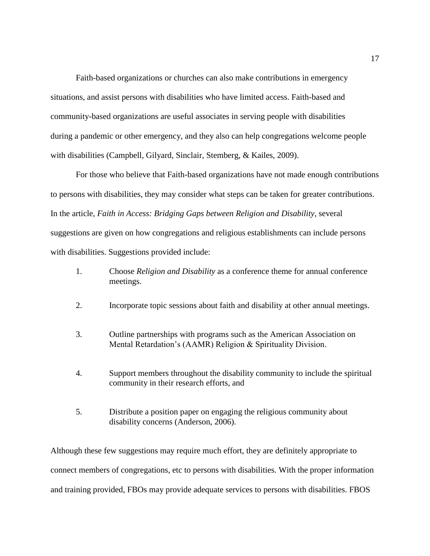Faith-based organizations or churches can also make contributions in emergency situations, and assist persons with disabilities who have limited access. Faith-based and community-based organizations are useful associates in serving people with disabilities during a pandemic or other emergency, and they also can help congregations welcome people with disabilities (Campbell, Gilyard, Sinclair, Stemberg, & Kailes, 2009).

For those who believe that Faith-based organizations have not made enough contributions to persons with disabilities, they may consider what steps can be taken for greater contributions. In the article, *Faith in Access: Bridging Gaps between Religion and Disability*, several suggestions are given on how congregations and religious establishments can include persons with disabilities. Suggestions provided include:

- 1. Choose *Religion and Disability* as a conference theme for annual conference meetings.
- 2. Incorporate topic sessions about faith and disability at other annual meetings.
- 3. Outline partnerships with programs such as the American Association on Mental Retardation's (AAMR) Religion & Spirituality Division.
- 4. Support members throughout the disability community to include the spiritual community in their research efforts, and
- 5. Distribute a position paper on engaging the religious community about disability concerns (Anderson, 2006).

Although these few suggestions may require much effort, they are definitely appropriate to connect members of congregations, etc to persons with disabilities. With the proper information and training provided, FBOs may provide adequate services to persons with disabilities. FBOS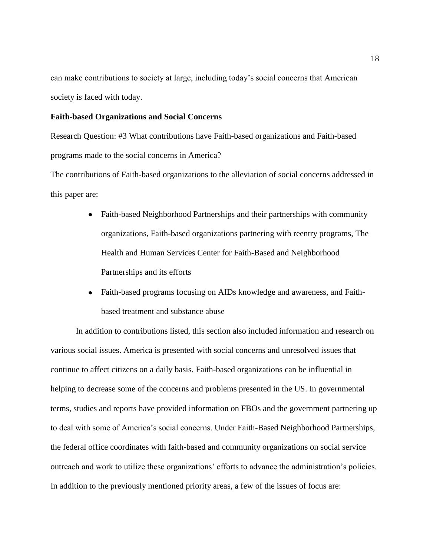can make contributions to society at large, including today's social concerns that American society is faced with today.

#### **Faith-based Organizations and Social Concerns**

Research Question: #3 What contributions have Faith-based organizations and Faith-based programs made to the social concerns in America?

The contributions of Faith-based organizations to the alleviation of social concerns addressed in this paper are:

- Faith-based Neighborhood Partnerships and their partnerships with community organizations, Faith-based organizations partnering with reentry programs, The Health and Human Services Center for Faith-Based and Neighborhood Partnerships and its efforts
- Faith-based programs focusing on AIDs knowledge and awareness, and Faithbased treatment and substance abuse

In addition to contributions listed, this section also included information and research on various social issues. America is presented with social concerns and unresolved issues that continue to affect citizens on a daily basis. Faith-based organizations can be influential in helping to decrease some of the concerns and problems presented in the US. In governmental terms, studies and reports have provided information on FBOs and the government partnering up to deal with some of America's social concerns. Under Faith-Based Neighborhood Partnerships, the federal office coordinates with faith-based and community organizations on social service outreach and work to utilize these organizations' efforts to advance the administration's policies. In addition to the previously mentioned priority areas, a few of the issues of focus are: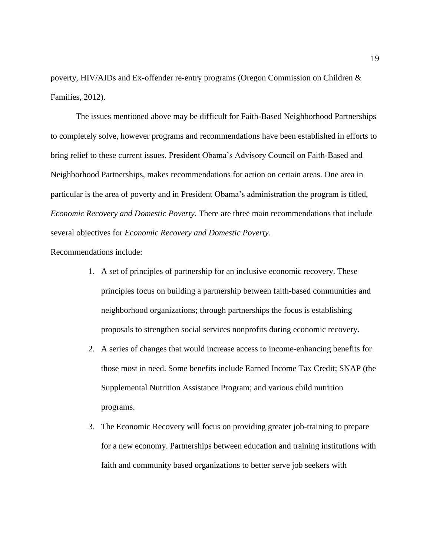poverty, HIV/AIDs and Ex-offender re-entry programs (Oregon Commission on Children & Families, 2012).

The issues mentioned above may be difficult for Faith-Based Neighborhood Partnerships to completely solve, however programs and recommendations have been established in efforts to bring relief to these current issues. President Obama's Advisory Council on Faith-Based and Neighborhood Partnerships, makes recommendations for action on certain areas. One area in particular is the area of poverty and in President Obama's administration the program is titled, *Economic Recovery and Domestic Poverty*. There are three main recommendations that include several objectives for *Economic Recovery and Domestic Poverty*.

Recommendations include:

- 1. A set of principles of partnership for an inclusive economic recovery. These principles focus on building a partnership between faith-based communities and neighborhood organizations; through partnerships the focus is establishing proposals to strengthen social services nonprofits during economic recovery.
- 2. A series of changes that would increase access to income-enhancing benefits for those most in need. Some benefits include Earned Income Tax Credit; SNAP (the Supplemental Nutrition Assistance Program; and various child nutrition programs.
- 3. The Economic Recovery will focus on providing greater job-training to prepare for a new economy. Partnerships between education and training institutions with faith and community based organizations to better serve job seekers with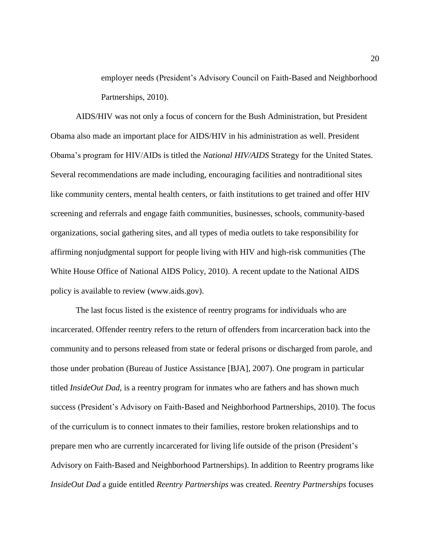employer needs (President's Advisory Council on Faith-Based and Neighborhood Partnerships, 2010).

AIDS/HIV was not only a focus of concern for the Bush Administration, but President Obama also made an important place for AIDS/HIV in his administration as well. President Obama's program for HIV/AIDs is titled the *National HIV/AIDS* Strategy for the United States. Several recommendations are made including, encouraging facilities and nontraditional sites like community centers, mental health centers, or faith institutions to get trained and offer HIV screening and referrals and engage faith communities, businesses, schools, community-based organizations, social gathering sites, and all types of media outlets to take responsibility for affirming nonjudgmental support for people living with HIV and high-risk communities (The White House Office of National AIDS Policy, 2010). A recent update to the National AIDS policy is available to review (www.aids.gov).

The last focus listed is the existence of reentry programs for individuals who are incarcerated. Offender reentry refers to the return of offenders from incarceration back into the community and to persons released from state or federal prisons or discharged from parole, and those under probation (Bureau of Justice Assistance [BJA], 2007). One program in particular titled *InsideOut Dad*, is a reentry program for inmates who are fathers and has shown much success (President's Advisory on Faith-Based and Neighborhood Partnerships, 2010). The focus of the curriculum is to connect inmates to their families, restore broken relationships and to prepare men who are currently incarcerated for living life outside of the prison (President's Advisory on Faith-Based and Neighborhood Partnerships). In addition to Reentry programs like *InsideOut Dad* a guide entitled *Reentry Partnerships* was created. *Reentry Partnerships* focuses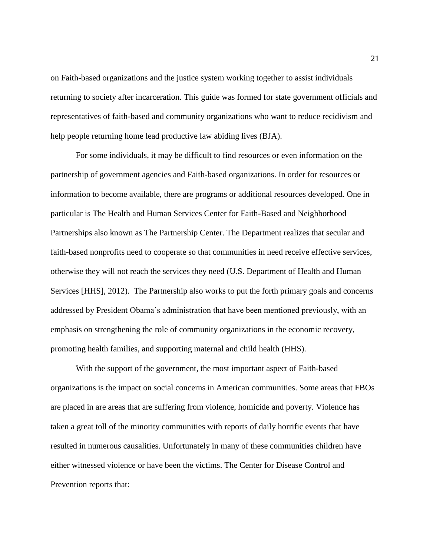on Faith-based organizations and the justice system working together to assist individuals returning to society after incarceration. This guide was formed for state government officials and representatives of faith-based and community organizations who want to reduce recidivism and help people returning home lead productive law abiding lives (BJA).

For some individuals, it may be difficult to find resources or even information on the partnership of government agencies and Faith-based organizations. In order for resources or information to become available, there are programs or additional resources developed. One in particular is The Health and Human Services Center for Faith-Based and Neighborhood Partnerships also known as The Partnership Center. The Department realizes that secular and faith-based nonprofits need to cooperate so that communities in need receive effective services, otherwise they will not reach the services they need (U.S. Department of Health and Human Services [HHS], 2012). The Partnership also works to put the forth primary goals and concerns addressed by President Obama's administration that have been mentioned previously, with an emphasis on strengthening the role of community organizations in the economic recovery, promoting health families, and supporting maternal and child health (HHS).

With the support of the government, the most important aspect of Faith-based organizations is the impact on social concerns in American communities. Some areas that FBOs are placed in are areas that are suffering from violence, homicide and poverty. Violence has taken a great toll of the minority communities with reports of daily horrific events that have resulted in numerous causalities. Unfortunately in many of these communities children have either witnessed violence or have been the victims. The Center for Disease Control and Prevention reports that: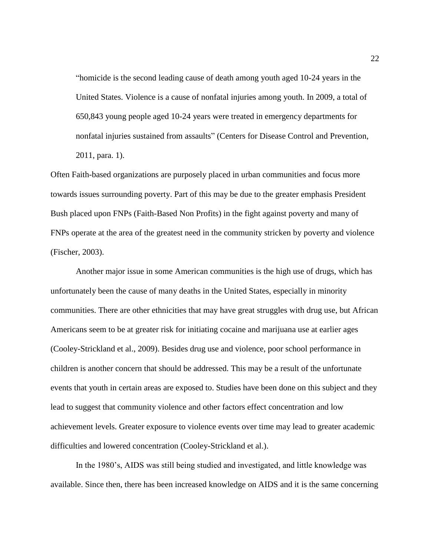"homicide is the second leading cause of death among youth aged 10-24 years in the United States. Violence is a cause of nonfatal injuries among youth. In 2009, a total of 650,843 young people aged 10-24 years were treated in emergency departments for nonfatal injuries sustained from assaults" (Centers for Disease Control and Prevention, 2011, para. 1).

Often Faith-based organizations are purposely placed in urban communities and focus more towards issues surrounding poverty. Part of this may be due to the greater emphasis President Bush placed upon FNPs (Faith-Based Non Profits) in the fight against poverty and many of FNPs operate at the area of the greatest need in the community stricken by poverty and violence (Fischer, 2003).

Another major issue in some American communities is the high use of drugs, which has unfortunately been the cause of many deaths in the United States, especially in minority communities. There are other ethnicities that may have great struggles with drug use, but African Americans seem to be at greater risk for initiating cocaine and marijuana use at earlier ages (Cooley-Strickland et al., 2009). Besides drug use and violence, poor school performance in children is another concern that should be addressed. This may be a result of the unfortunate events that youth in certain areas are exposed to. Studies have been done on this subject and they lead to suggest that community violence and other factors effect concentration and low achievement levels. Greater exposure to violence events over time may lead to greater academic difficulties and lowered concentration (Cooley-Strickland et al.).

In the 1980's, AIDS was still being studied and investigated, and little knowledge was available. Since then, there has been increased knowledge on AIDS and it is the same concerning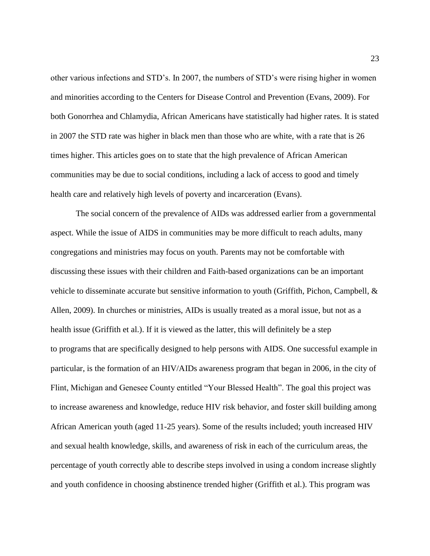other various infections and STD's. In 2007, the numbers of STD's were rising higher in women and minorities according to the Centers for Disease Control and Prevention (Evans, 2009). For both Gonorrhea and Chlamydia, African Americans have statistically had higher rates. It is stated in 2007 the STD rate was higher in black men than those who are white, with a rate that is 26 times higher. This articles goes on to state that the high prevalence of African American communities may be due to social conditions, including a lack of access to good and timely health care and relatively high levels of poverty and incarceration (Evans).

The social concern of the prevalence of AIDs was addressed earlier from a governmental aspect. While the issue of AIDS in communities may be more difficult to reach adults, many congregations and ministries may focus on youth. Parents may not be comfortable with discussing these issues with their children and Faith-based organizations can be an important vehicle to disseminate accurate but sensitive information to youth (Griffith, Pichon, Campbell, & Allen, 2009). In churches or ministries, AIDs is usually treated as a moral issue, but not as a health issue (Griffith et al.). If it is viewed as the latter, this will definitely be a step to programs that are specifically designed to help persons with AIDS. One successful example in particular, is the formation of an HIV/AIDs awareness program that began in 2006, in the city of Flint, Michigan and Genesee County entitled "Your Blessed Health". The goal this project was to increase awareness and knowledge, reduce HIV risk behavior, and foster skill building among African American youth (aged 11-25 years). Some of the results included; youth increased HIV and sexual health knowledge, skills, and awareness of risk in each of the curriculum areas, the percentage of youth correctly able to describe steps involved in using a condom increase slightly and youth confidence in choosing abstinence trended higher (Griffith et al.). This program was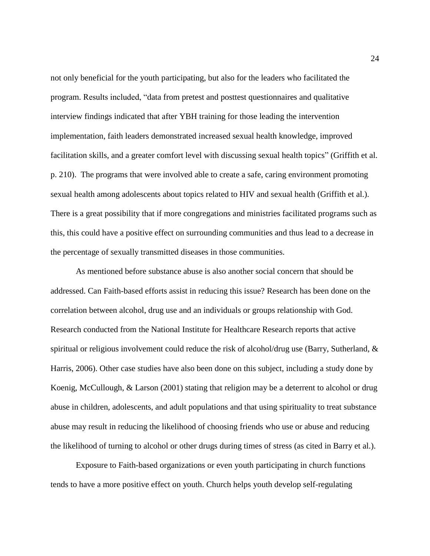not only beneficial for the youth participating, but also for the leaders who facilitated the program. Results included, "data from pretest and posttest questionnaires and qualitative interview findings indicated that after YBH training for those leading the intervention implementation, faith leaders demonstrated increased sexual health knowledge, improved facilitation skills, and a greater comfort level with discussing sexual health topics" (Griffith et al. p. 210). The programs that were involved able to create a safe, caring environment promoting sexual health among adolescents about topics related to HIV and sexual health (Griffith et al.). There is a great possibility that if more congregations and ministries facilitated programs such as this, this could have a positive effect on surrounding communities and thus lead to a decrease in the percentage of sexually transmitted diseases in those communities.

As mentioned before substance abuse is also another social concern that should be addressed. Can Faith-based efforts assist in reducing this issue? Research has been done on the correlation between alcohol, drug use and an individuals or groups relationship with God. Research conducted from the National Institute for Healthcare Research reports that active spiritual or religious involvement could reduce the risk of alcohol/drug use (Barry, Sutherland, & Harris, 2006). Other case studies have also been done on this subject, including a study done by Koenig, McCullough, & Larson (2001) stating that religion may be a deterrent to alcohol or drug abuse in children, adolescents, and adult populations and that using spirituality to treat substance abuse may result in reducing the likelihood of choosing friends who use or abuse and reducing the likelihood of turning to alcohol or other drugs during times of stress (as cited in Barry et al.).

Exposure to Faith-based organizations or even youth participating in church functions tends to have a more positive effect on youth. Church helps youth develop self-regulating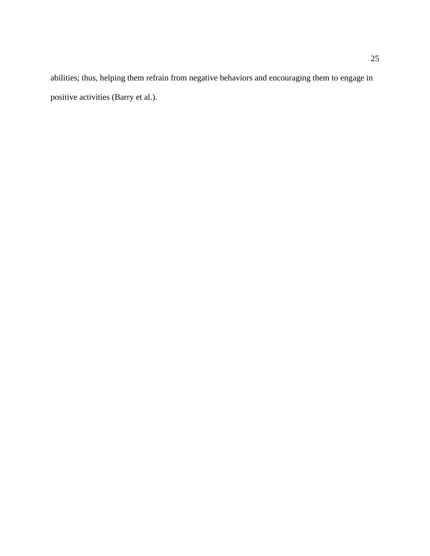abilities; thus, helping them refrain from negative behaviors and encouraging them to engage in positive activities (Barry et al.).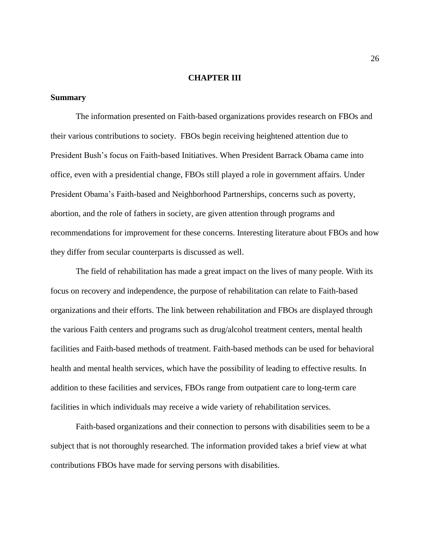#### **CHAPTER III**

#### **Summary**

The information presented on Faith-based organizations provides research on FBOs and their various contributions to society. FBOs begin receiving heightened attention due to President Bush's focus on Faith-based Initiatives. When President Barrack Obama came into office, even with a presidential change, FBOs still played a role in government affairs. Under President Obama's Faith-based and Neighborhood Partnerships, concerns such as poverty, abortion, and the role of fathers in society, are given attention through programs and recommendations for improvement for these concerns. Interesting literature about FBOs and how they differ from secular counterparts is discussed as well.

The field of rehabilitation has made a great impact on the lives of many people. With its focus on recovery and independence, the purpose of rehabilitation can relate to Faith-based organizations and their efforts. The link between rehabilitation and FBOs are displayed through the various Faith centers and programs such as drug/alcohol treatment centers, mental health facilities and Faith-based methods of treatment. Faith-based methods can be used for behavioral health and mental health services, which have the possibility of leading to effective results. In addition to these facilities and services, FBOs range from outpatient care to long-term care facilities in which individuals may receive a wide variety of rehabilitation services.

Faith-based organizations and their connection to persons with disabilities seem to be a subject that is not thoroughly researched. The information provided takes a brief view at what contributions FBOs have made for serving persons with disabilities.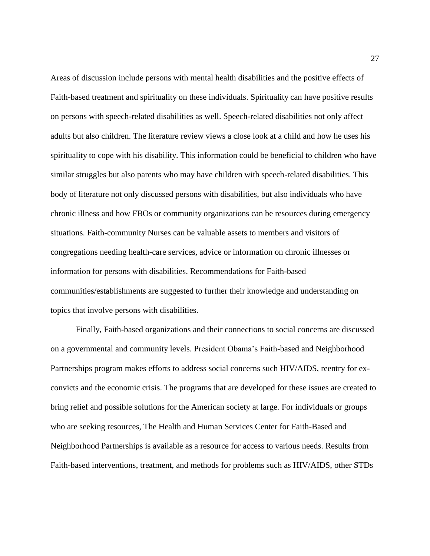Areas of discussion include persons with mental health disabilities and the positive effects of Faith-based treatment and spirituality on these individuals. Spirituality can have positive results on persons with speech-related disabilities as well. Speech-related disabilities not only affect adults but also children. The literature review views a close look at a child and how he uses his spirituality to cope with his disability. This information could be beneficial to children who have similar struggles but also parents who may have children with speech-related disabilities. This body of literature not only discussed persons with disabilities, but also individuals who have chronic illness and how FBOs or community organizations can be resources during emergency situations. Faith-community Nurses can be valuable assets to members and visitors of congregations needing health-care services, advice or information on chronic illnesses or information for persons with disabilities. Recommendations for Faith-based communities/establishments are suggested to further their knowledge and understanding on topics that involve persons with disabilities.

Finally, Faith-based organizations and their connections to social concerns are discussed on a governmental and community levels. President Obama's Faith-based and Neighborhood Partnerships program makes efforts to address social concerns such HIV/AIDS, reentry for exconvicts and the economic crisis. The programs that are developed for these issues are created to bring relief and possible solutions for the American society at large. For individuals or groups who are seeking resources, The Health and Human Services Center for Faith-Based and Neighborhood Partnerships is available as a resource for access to various needs. Results from Faith-based interventions, treatment, and methods for problems such as HIV/AIDS, other STDs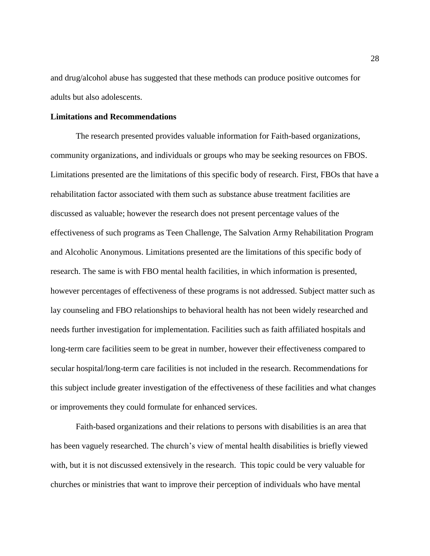and drug/alcohol abuse has suggested that these methods can produce positive outcomes for adults but also adolescents.

#### **Limitations and Recommendations**

The research presented provides valuable information for Faith-based organizations, community organizations, and individuals or groups who may be seeking resources on FBOS. Limitations presented are the limitations of this specific body of research. First, FBOs that have a rehabilitation factor associated with them such as substance abuse treatment facilities are discussed as valuable; however the research does not present percentage values of the effectiveness of such programs as Teen Challenge, The Salvation Army Rehabilitation Program and Alcoholic Anonymous. Limitations presented are the limitations of this specific body of research. The same is with FBO mental health facilities, in which information is presented, however percentages of effectiveness of these programs is not addressed. Subject matter such as lay counseling and FBO relationships to behavioral health has not been widely researched and needs further investigation for implementation. Facilities such as faith affiliated hospitals and long-term care facilities seem to be great in number, however their effectiveness compared to secular hospital/long-term care facilities is not included in the research. Recommendations for this subject include greater investigation of the effectiveness of these facilities and what changes or improvements they could formulate for enhanced services.

Faith-based organizations and their relations to persons with disabilities is an area that has been vaguely researched. The church's view of mental health disabilities is briefly viewed with, but it is not discussed extensively in the research. This topic could be very valuable for churches or ministries that want to improve their perception of individuals who have mental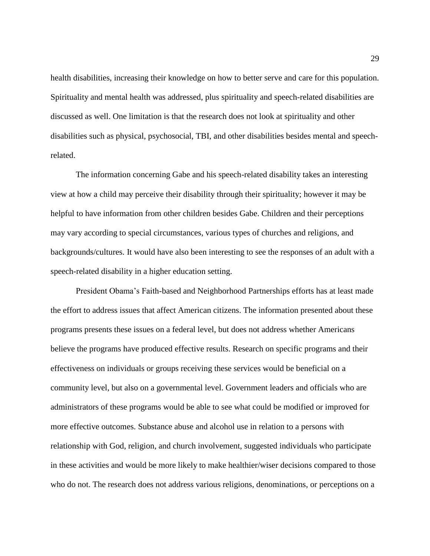health disabilities, increasing their knowledge on how to better serve and care for this population. Spirituality and mental health was addressed, plus spirituality and speech-related disabilities are discussed as well. One limitation is that the research does not look at spirituality and other disabilities such as physical, psychosocial, TBI, and other disabilities besides mental and speechrelated.

The information concerning Gabe and his speech-related disability takes an interesting view at how a child may perceive their disability through their spirituality; however it may be helpful to have information from other children besides Gabe. Children and their perceptions may vary according to special circumstances, various types of churches and religions, and backgrounds/cultures. It would have also been interesting to see the responses of an adult with a speech-related disability in a higher education setting.

President Obama's Faith-based and Neighborhood Partnerships efforts has at least made the effort to address issues that affect American citizens. The information presented about these programs presents these issues on a federal level, but does not address whether Americans believe the programs have produced effective results. Research on specific programs and their effectiveness on individuals or groups receiving these services would be beneficial on a community level, but also on a governmental level. Government leaders and officials who are administrators of these programs would be able to see what could be modified or improved for more effective outcomes. Substance abuse and alcohol use in relation to a persons with relationship with God, religion, and church involvement, suggested individuals who participate in these activities and would be more likely to make healthier/wiser decisions compared to those who do not. The research does not address various religions, denominations, or perceptions on a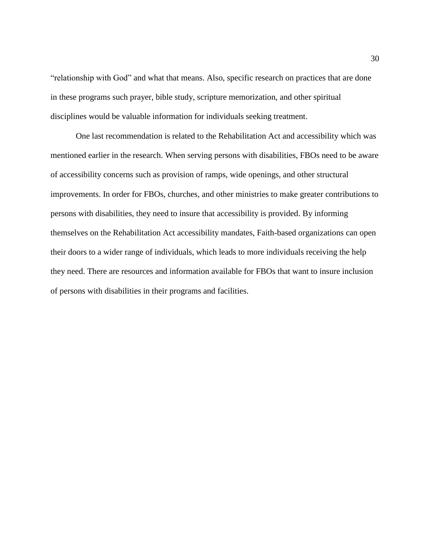"relationship with God" and what that means. Also, specific research on practices that are done in these programs such prayer, bible study, scripture memorization, and other spiritual disciplines would be valuable information for individuals seeking treatment.

One last recommendation is related to the Rehabilitation Act and accessibility which was mentioned earlier in the research. When serving persons with disabilities, FBOs need to be aware of accessibility concerns such as provision of ramps, wide openings, and other structural improvements. In order for FBOs, churches, and other ministries to make greater contributions to persons with disabilities, they need to insure that accessibility is provided. By informing themselves on the Rehabilitation Act accessibility mandates, Faith-based organizations can open their doors to a wider range of individuals, which leads to more individuals receiving the help they need. There are resources and information available for FBOs that want to insure inclusion of persons with disabilities in their programs and facilities.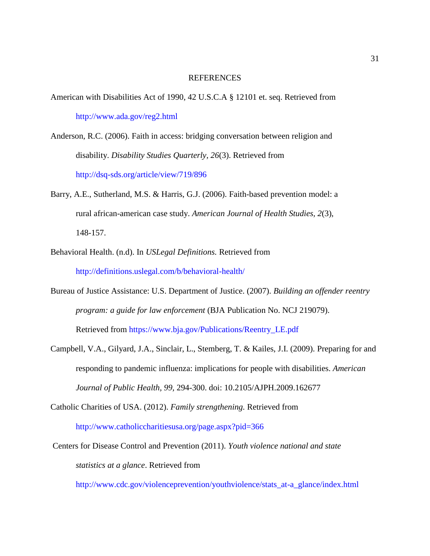#### REFERENCES

- American with Disabilities Act of 1990, 42 U.S.C.A § 12101 et. seq. Retrieved from <http://www.ada.gov/reg2.html>
- Anderson, R.C. (2006). Faith in access: bridging conversation between religion and disability. *Disability Studies Quarterly, 26*(3). Retrieved from <http://dsq-sds.org/article/view/719/896>
- Barry, A.E., Sutherland, M.S. & Harris, G.J. (2006). Faith-based prevention model: a rural african-american case study. *American Journal of Health Studies, 2*(3), 148-157.
- Behavioral Health. (n.d). In *USLegal Definitions.* Retrieved from <http://definitions.uslegal.com/b/behavioral-health/>
- Bureau of Justice Assistance: U.S. Department of Justice. (2007). *Building an offender reentry program: a guide for law enforcement* (BJA Publication No. NCJ 219079). Retrieved from [https://www.bja.gov/Publications/Reentry\\_LE.pdf](https://www.bja.gov/Publications/Reentry_LE.pdf)
- Campbell, V.A., Gilyard, J.A., Sinclair, L., Stemberg, T. & Kailes, J.I. (2009). Preparing for and responding to pandemic influenza: implications for people with disabilities. *American Journal of Public Health, 99,* 294-300. doi: 10.2105/AJPH.2009.162677
- Catholic Charities of USA. (2012). *Family strengthening.* Retrieved from <http://www.catholiccharitiesusa.org/page.aspx?pid=366>
- Centers for Disease Control and Prevention (2011). *Youth violence national and state statistics at a glance*. Retrieved from

[http://www.cdc.gov/violenceprevention/youthviolence/stats\\_at-a\\_glance/index.html](http://www.cdc.gov/violenceprevention/youthviolence/stats_at-a_glance/index.html)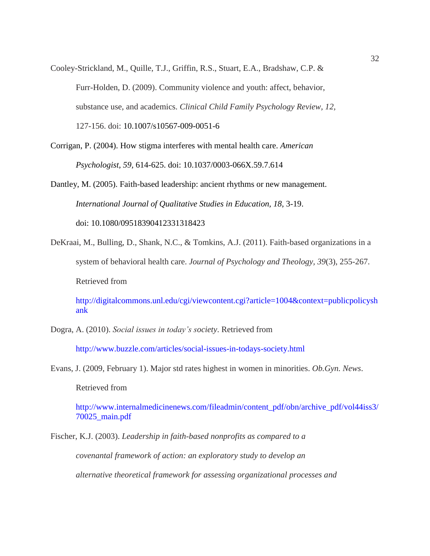- Cooley-Strickland, M., Quille, T.J., Griffin, R.S., Stuart, E.A., Bradshaw, C.P. & Furr-Holden, D. (2009). Community violence and youth: affect, behavior, substance use, and academics. *Clinical Child Family Psychology Review, 12,* 127-156. doi: 10.1007/s10567-009-0051-6
- Corrigan, P. (2004). How stigma interferes with mental health care. *American Psychologist, 59,* 614-625. doi: 10.1037/0003-066X.59.7.614

Dantley, M. (2005). Faith-based leadership: ancient rhythms or new management. *International Journal of Qualitative Studies in Education, 18*, 3-19. doi: 10.1080/09518390412331318423

DeKraai, M., Bulling, D., Shank, N.C., & Tomkins, A.J. (2011). Faith-based organizations in a system of behavioral health care. *Journal of Psychology and Theology, 39*(3), 255-267. Retrieved from

[http://digitalcommons.unl.edu/cgi/viewcontent.cgi?article=1004&context=publicpolicysh](http://digitalcommons.unl.edu/cgi/viewcontent.cgi?article=1004&context=publicpolicyshank) [ank](http://digitalcommons.unl.edu/cgi/viewcontent.cgi?article=1004&context=publicpolicyshank)

Dogra, A. (2010). *Social issues in today's society*. Retrieved from

<http://www.buzzle.com/articles/social-issues-in-todays-society.html>

Evans, J. (2009, February 1). Major std rates highest in women in minorities. *Ob.Gyn. News*.

Retrieved from

[http://www.internalmedicinenews.com/fileadmin/content\\_pdf/obn/archive\\_pdf/vol44iss3/](http://www.internalmedicinenews.com/fileadmin/content_pdf/obn/archive_pdf/vol44iss3/70025_main.pdf) [70025\\_main.pdf](http://www.internalmedicinenews.com/fileadmin/content_pdf/obn/archive_pdf/vol44iss3/70025_main.pdf)

Fischer, K.J. (2003). *Leadership in faith-based nonprofits as compared to a covenantal framework of action: an exploratory study to develop an alternative theoretical framework for assessing organizational processes and*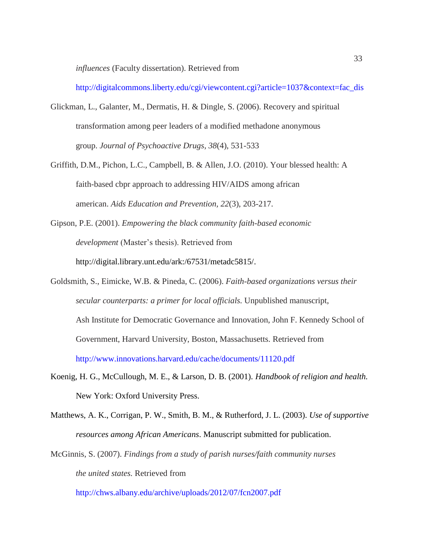*influences* (Faculty dissertation). Retrieved from

[http://digitalcommons.liberty.edu/cgi/viewcontent.cgi?article=1037&context=fac\\_dis](http://digitalcommons.liberty.edu/cgi/viewcontent.cgi?article=1037&context=fac_dis)

- Glickman, L., Galanter, M., Dermatis, H. & Dingle, S. (2006). Recovery and spiritual transformation among peer leaders of a modified methadone anonymous group. *Journal of Psychoactive Drugs, 38*(4), 531-533
- Griffith, D.M., Pichon, L.C., Campbell, B. & Allen, J.O. (2010). Your blessed health: A faith-based cbpr approach to addressing HIV/AIDS among african american. *Aids Education and Prevention, 22*(3), 203-217.
- Gipson, P.E. (2001). *Empowering the black community faith-based economic development* (Master's thesis). Retrieved from [http://digital.library.unt.edu/ark:/67531/metadc5815/.](http://digital.library.unt.edu/ark:/67531/metadc5815/)
- Goldsmith, S., Eimicke, W.B. & Pineda, C. (2006). *Faith-based organizations versus their secular counterparts: a primer for local officials.* Unpublished manuscript, Ash Institute for Democratic Governance and Innovation, John F. Kennedy School of Government, Harvard University, Boston, Massachusetts. Retrieved from <http://www.innovations.harvard.edu/cache/documents/11120.pdf>
- Koenig, H. G., McCullough, M. E., & Larson, D. B. (2001). *Handbook of religion and health.*  New York: Oxford University Press.
- Matthews, A. K., Corrigan, P. W., Smith, B. M., & Rutherford, J. L. (2003). *Use of supportive resources among African Americans*. Manuscript submitted for publication.
- McGinnis, S. (2007). *Findings from a study of parish nurses/faith community nurses the united states.* Retrieved from

<http://chws.albany.edu/archive/uploads/2012/07/fcn2007.pdf>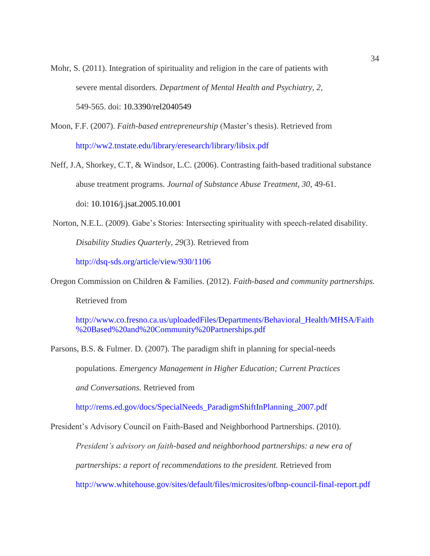Mohr, S. (2011). Integration of spirituality and religion in the care of patients with severe mental disorders. *Department of Mental Health and Psychiatry, 2,* 549-565. doi: 10.3390/rel2040549

Moon, F.F. (2007). *Faith-based entrepreneurship* (Master's thesis). Retrieved from <http://ww2.tnstate.edu/library/eresearch/library/libsix.pdf>

Neff, J.A, Shorkey, C.T, & Windsor, L.C. (2006). Contrasting faith-based traditional substance abuse treatment programs. *Journal of Substance Abuse Treatment, 30,* 49-61. doi: 10.1016/j.jsat.2005.10.001

Norton, N.E.L. (2009). Gabe's Stories: Intersecting spirituality with speech-related disability. *Disability Studies Quarterly, 29*(3). Retrieved from <http://dsq-sds.org/article/view/930/1106>

Oregon Commission on Children & Families. (2012). *Faith-based and community partnerships.*

Retrieved from

[http://www.co.fresno.ca.us/uploadedFiles/Departments/Behavioral\\_Health/MHSA/Faith](http://www.co.fresno.ca.us/uploadedFiles/Departments/Behavioral_Health/MHSA/Faith%20Based%20and%20Community%20Partnerships.pdf) [%20Based%20and%20Community%20Partnerships.pdf](http://www.co.fresno.ca.us/uploadedFiles/Departments/Behavioral_Health/MHSA/Faith%20Based%20and%20Community%20Partnerships.pdf)

Parsons, B.S. & Fulmer. D. (2007). The paradigm shift in planning for special-needs populations. *Emergency Management in Higher Education; Current Practices*

*and Conversations.* Retrieved from

[http://rems.ed.gov/docs/SpecialNeeds\\_ParadigmShiftInPlanning\\_2007.pdf](http://rems.ed.gov/docs/SpecialNeeds_ParadigmShiftInPlanning_2007.pdf)

President's Advisory Council on Faith-Based and Neighborhood Partnerships. (2010).

*President's advisory on faith-based and neighborhood partnerships: a new era of*

*partnerships: a report of recommendations to the president.* Retrieved from

<http://www.whitehouse.gov/sites/default/files/microsites/ofbnp-council-final-report.pdf>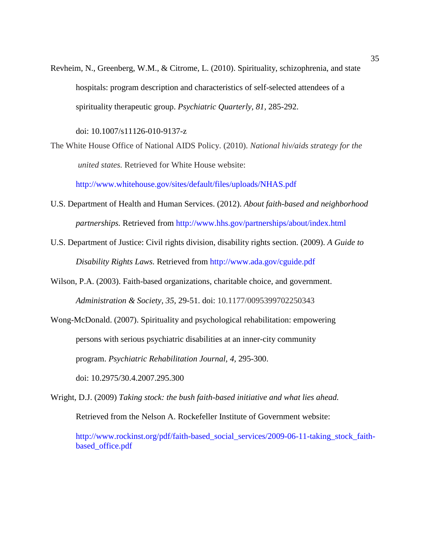Revheim, N., Greenberg, W.M., & Citrome, L. (2010). Spirituality, schizophrenia, and state hospitals: program description and characteristics of self-selected attendees of a spirituality therapeutic group. *Psychiatric Quarterly, 81,* 285-292.

doi: 10.1007/s11126-010-9137-z

The White House Office of National AIDS Policy. (2010). *National hiv/aids strategy for the united states.* Retrieved for White House website:

<http://www.whitehouse.gov/sites/default/files/uploads/NHAS.pdf>

- U.S. Department of Health and Human Services. (2012). *About faith-based and neighborhood partnerships.* Retrieved from<http://www.hhs.gov/partnerships/about/index.html>
- U.S. Department of Justice: Civil rights division, disability rights section. (2009). *A Guide to Disability Rights Laws.* Retrieved from<http://www.ada.gov/cguide.pdf>
- Wilson, P.A. (2003). Faith-based organizations, charitable choice, and government. *Administration & Society, 35,* 29-51. doi: 10.1177/0095399702250343
- Wong-McDonald. (2007). Spirituality and psychological rehabilitation: empowering persons with serious psychiatric disabilities at an inner-city community program. *Psychiatric Rehabilitation Journal, 4,* 295-300. doi: 10.2975/30.4.2007.295.300

Wright, D.J. (2009) *Taking stock: the bush faith-based initiative and what lies ahead.* Retrieved from the Nelson A. Rockefeller Institute of Government website:

[http://www.rockinst.org/pdf/faith-based\\_social\\_services/2009-06-11-taking\\_stock\\_faith](http://www.rockinst.org/pdf/faith-based_social_services/2009-06-11-taking_stock_faith-based_office.pdf)[based\\_office.pdf](http://www.rockinst.org/pdf/faith-based_social_services/2009-06-11-taking_stock_faith-based_office.pdf)